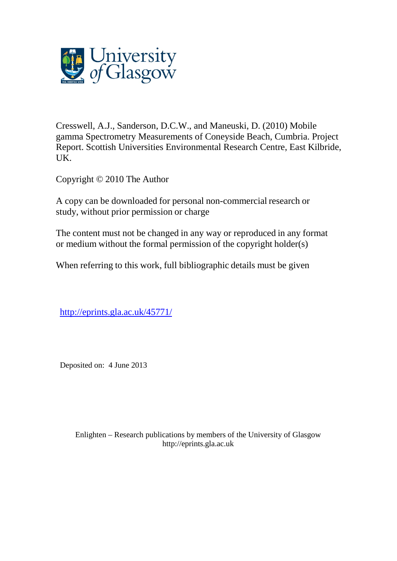

Cresswell, A.J., Sanderson, D.C.W., and Maneuski, D. (2010) Mobile gamma Spectrometry Measurements of Coneyside Beach, Cumbria. Project Report. Scottish Universities Environmental Research Centre, East Kilbride, UK.

Copyright © 2010 The Author

A copy can be downloaded for personal non-commercial research or study, without prior permission or charge

The content must not be changed in any way or reproduced in any format or medium without the formal permission of the copyright holder(s)

When referring to this work, full bibliographic details must be given

[http://eprints.gla.ac.uk/45771/](http://eprints.gla.ac.uk/80590/)

Deposited on: 4 June 2013

Enlighten – Research publications by members of the University of Glasgo[w](http://eprints.gla.ac.uk/) [http://eprints.gla.ac.uk](http://eprints.gla.ac.uk/)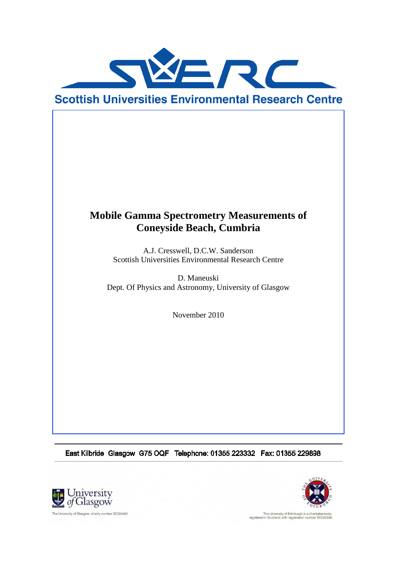

# **Mobile Gamma Spectrometry Measurements of Coneyside Beach, Cumbria**

A.J. Cresswell, D.C.W. Sanderson Scottish Universities Environmental Research Centre

D. Maneuski Dept. Of Physics and Astronomy, University of Glasgow

November 2010

East Kilbride Glasgow G75 OQF Telephone: 01355 223332 Fax: 01355 229898





The University of Edinburgh is a charitable body<br>registered in Scotland, with registration number SC005336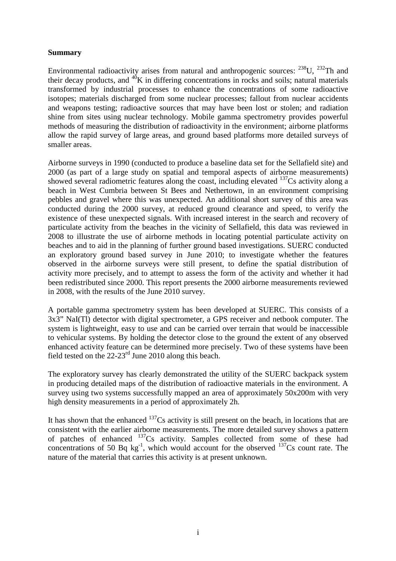#### **Summary**

Environmental radioactivity arises from natural and anthropogenic sources:  $^{238}$ U,  $^{232}$ Th and their decay products, and  $^{40}K$  in differing concentrations in rocks and soils; natural materials transformed by industrial processes to enhance the concentrations of some radioactive isotopes; materials discharged from some nuclear processes; fallout from nuclear accidents and weapons testing; radioactive sources that may have been lost or stolen; and radiation shine from sites using nuclear technology. Mobile gamma spectrometry provides powerful methods of measuring the distribution of radioactivity in the environment; airborne platforms allow the rapid survey of large areas, and ground based platforms more detailed surveys of smaller areas.

Airborne surveys in 1990 (conducted to produce a baseline data set for the Sellafield site) and 2000 (as part of a large study on spatial and temporal aspects of airborne measurements) showed several radiometric features along the coast, including elevated  $137Cs$  activity along a beach in West Cumbria between St Bees and Nethertown, in an environment comprising pebbles and gravel where this was unexpected. An additional short survey of this area was conducted during the 2000 survey, at reduced ground clearance and speed, to verify the existence of these unexpected signals. With increased interest in the search and recovery of particulate activity from the beaches in the vicinity of Sellafield, this data was reviewed in 2008 to illustrate the use of airborne methods in locating potential particulate activity on beaches and to aid in the planning of further ground based investigations. SUERC conducted an exploratory ground based survey in June 2010; to investigate whether the features observed in the airborne surveys were still present, to define the spatial distribution of activity more precisely, and to attempt to assess the form of the activity and whether it had been redistributed since 2000. This report presents the 2000 airborne measurements reviewed in 2008, with the results of the June 2010 survey.

A portable gamma spectrometry system has been developed at SUERC. This consists of a 3x3" NaI(Tl) detector with digital spectrometer, a GPS receiver and netbook computer. The system is lightweight, easy to use and can be carried over terrain that would be inaccessible to vehicular systems. By holding the detector close to the ground the extent of any observed enhanced activity feature can be determined more precisely. Two of these systems have been field tested on the  $22-23$ <sup>rd</sup> June 2010 along this beach.

The exploratory survey has clearly demonstrated the utility of the SUERC backpack system in producing detailed maps of the distribution of radioactive materials in the environment. A survey using two systems successfully mapped an area of approximately 50x200m with very high density measurements in a period of approximately 2h.

It has shown that the enhanced  $137Cs$  activity is still present on the beach, in locations that are consistent with the earlier airborne measurements. The more detailed survey shows a pattern of patches of enhanced <sup>137</sup>Cs activity. Samples collected from some of these had concentrations of 50 Bq  $kg^{-1}$ , which would account for the observed  $137Cs$  count rate. The nature of the material that carries this activity is at present unknown.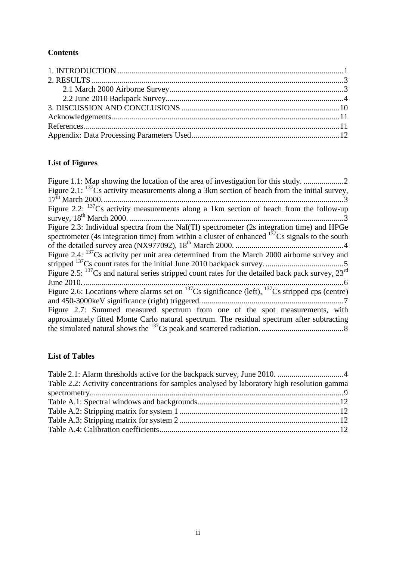### **Contents**

# **List of Figures**

| Figure 2.1: $^{137}$ Cs activity measurements along a 3km section of beach from the initial survey,                 |
|---------------------------------------------------------------------------------------------------------------------|
|                                                                                                                     |
| Figure 2.2: $137$ Cs activity measurements along a 1km section of beach from the follow-up                          |
|                                                                                                                     |
| Figure 2.3: Individual spectra from the NaI(Tl) spectrometer (2s integration time) and HPGe                         |
| spectrometer (4s integration time) from within a cluster of enhanced $137Cs$ signals to the south                   |
|                                                                                                                     |
| Figure 2.4: $^{137}$ Cs activity per unit area determined from the March 2000 airborne survey and                   |
|                                                                                                                     |
| Figure 2.5: $^{137}$ Cs and natural series stripped count rates for the detailed back pack survey, $23^{\text{rd}}$ |
|                                                                                                                     |
| Figure 2.6: Locations where alarms set on $^{137}Cs$ significance (left), $^{137}Cs$ stripped cps (centre)          |
|                                                                                                                     |
| Figure 2.7: Summed measured spectrum from one of the spot measurements, with                                        |
| approximately fitted Monte Carlo natural spectrum. The residual spectrum after subtracting                          |
|                                                                                                                     |
|                                                                                                                     |

## **List of Tables**

| Table 2.2: Activity concentrations for samples analysed by laboratory high resolution gamma |  |
|---------------------------------------------------------------------------------------------|--|
|                                                                                             |  |
|                                                                                             |  |
|                                                                                             |  |
|                                                                                             |  |
|                                                                                             |  |
|                                                                                             |  |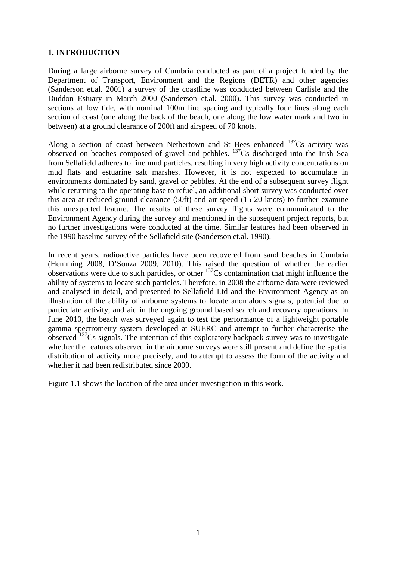#### **1. INTRODUCTION**

During a large airborne survey of Cumbria conducted as part of a project funded by the Department of Transport, Environment and the Regions (DETR) and other agencies (Sanderson et.al. 2001) a survey of the coastline was conducted between Carlisle and the Duddon Estuary in March 2000 (Sanderson et.al. 2000). This survey was conducted in sections at low tide, with nominal 100m line spacing and typically four lines along each section of coast (one along the back of the beach, one along the low water mark and two in between) at a ground clearance of 200ft and airspeed of 70 knots.

Along a section of coast between Nethertown and St Bees enhanced  $137Cs$  activity was observed on beaches composed of gravel and pebbles. <sup>137</sup>Cs discharged into the Irish Sea from Sellafield adheres to fine mud particles, resulting in very high activity concentrations on mud flats and estuarine salt marshes. However, it is not expected to accumulate in environments dominated by sand, gravel or pebbles. At the end of a subsequent survey flight while returning to the operating base to refuel, an additional short survey was conducted over this area at reduced ground clearance (50ft) and air speed (15-20 knots) to further examine this unexpected feature. The results of these survey flights were communicated to the Environment Agency during the survey and mentioned in the subsequent project reports, but no further investigations were conducted at the time. Similar features had been observed in the 1990 baseline survey of the Sellafield site (Sanderson et.al. 1990).

In recent years, radioactive particles have been recovered from sand beaches in Cumbria (Hemming 2008, D'Souza 2009, 2010). This raised the question of whether the earlier observations were due to such particles, or other  $137Cs$  contamination that might influence the ability of systems to locate such particles. Therefore, in 2008 the airborne data were reviewed and analysed in detail, and presented to Sellafield Ltd and the Environment Agency as an illustration of the ability of airborne systems to locate anomalous signals, potential due to particulate activity, and aid in the ongoing ground based search and recovery operations. In June 2010, the beach was surveyed again to test the performance of a lightweight portable gamma spectrometry system developed at SUERC and attempt to further characterise the observed  $137$ Cs signals. The intention of this exploratory backpack survey was to investigate whether the features observed in the airborne surveys were still present and define the spatial distribution of activity more precisely, and to attempt to assess the form of the activity and whether it had been redistributed since 2000.

Figure 1.1 shows the location of the area under investigation in this work.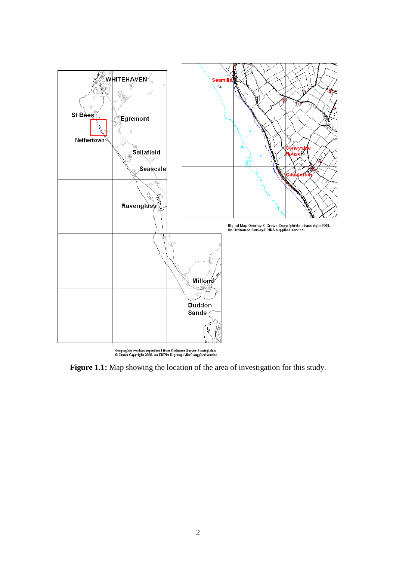

Geographic overlays reproduced from Ordnance Survey Strategi data<br>© Crown Copyright 2000. An EDINA Digimap / JISC supplied service

**Figure 1.1:** Map showing the location of the area of investigation for this study.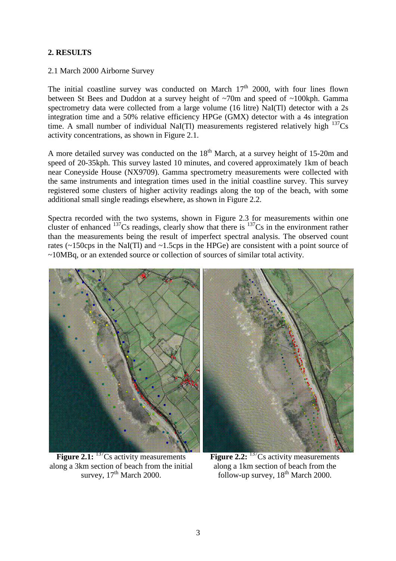#### **2. RESULTS**

#### 2.1 March 2000 Airborne Survey

The initial coastline survey was conducted on March  $17<sup>th</sup>$  2000, with four lines flown between St Bees and Duddon at a survey height of ~70m and speed of ~100kph. Gamma spectrometry data were collected from a large volume (16 litre) NaI(Tl) detector with a 2s integration time and a 50% relative efficiency HPGe (GMX) detector with a 4s integration time. A small number of individual NaI(Tl) measurements registered relatively high  $137Cs$ activity concentrations, as shown in Figure 2.1.

A more detailed survey was conducted on the  $18<sup>th</sup>$  March, at a survey height of 15-20m and speed of 20-35kph. This survey lasted 10 minutes, and covered approximately 1km of beach near Coneyside House (NX9709). Gamma spectrometry measurements were collected with the same instruments and integration times used in the initial coastline survey. This survey registered some clusters of higher activity readings along the top of the beach, with some additional small single readings elsewhere, as shown in Figure 2.2.

Spectra recorded with the two systems, shown in Figure 2.3 for measurements within one cluster of enhanced <sup>137</sup>Cs readings, clearly show that there is <sup>137</sup>Cs in the environment rather than the measurements being the result of imperfect spectral analysis. The observed count rates ( $\sim$ 150cps in the NaI(Tl) and  $\sim$ 1.5cps in the HPGe) are consistent with a point source of ~10MBq, or an extended source or collection of sources of similar total activity.



**Figure 2.1:** <sup>137</sup>Cs activity measurements along a 3km section of beach from the initial survey,  $17<sup>th</sup>$  March 2000.



**Figure 2.2:** <sup>137</sup>Cs activity measurements along a 1km section of beach from the follow-up survey,  $18^{th}$  March 2000.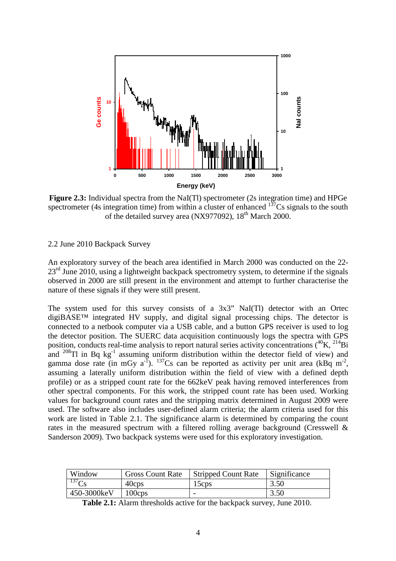

**Figure 2.3:** Individual spectra from the NaI(Tl) spectrometer (2s integration time) and HPGe spectrometer (4s integration time) from within a cluster of enhanced  $137Cs$  signals to the south of the detailed survey area (NX977092), 18<sup>th</sup> March 2000.

#### 2.2 June 2010 Backpack Survey

An exploratory survey of the beach area identified in March 2000 was conducted on the 22-  $23<sup>rd</sup>$  June 2010, using a lightweight backpack spectrometry system, to determine if the signals observed in 2000 are still present in the environment and attempt to further characterise the nature of these signals if they were still present.

The system used for this survey consists of a 3x3" NaI(Tl) detector with an Ortec digiBASE™ integrated HV supply, and digital signal processing chips. The detector is connected to a netbook computer via a USB cable, and a button GPS receiver is used to log the detector position. The SUERC data acquisition continuously logs the spectra with GPS position, conducts real-time analysis to report natural series activity concentrations  $(^{40}K, ^{214}Bi$ and  $^{208}$ Tl in Bq kg<sup>-1</sup> assuming uniform distribution within the detector field of view) and gamma dose rate (in mGy  $a^{-1}$ ). <sup>137</sup>Cs can be reported as activity per unit area (kBq m<sup>-2</sup>, assuming a laterally uniform distribution within the field of view with a defined depth profile) or as a stripped count rate for the 662keV peak having removed interferences from other spectral components. For this work, the stripped count rate has been used. Working values for background count rates and the stripping matrix determined in August 2009 were used. The software also includes user-defined alarm criteria; the alarm criteria used for this work are listed in Table 2.1. The significance alarm is determined by comparing the count rates in the measured spectrum with a filtered rolling average background (Cresswell & Sanderson 2009). Two backpack systems were used for this exploratory investigation. **Table 2.1: Table 2.1: Table 2.1:** The interaction of the backpack systems were used for this exponential active for the backpack survey,  $\frac{1}{100}$  and  $\frac{1}{100}$  and  $\frac{1}{100}$  and  $\frac{1}{100}$  and  $\frac{1}{100}$  and

| Window            | <b>Gross Count Rate</b> | <b>Stripped Count Rate</b> | Significance |
|-------------------|-------------------------|----------------------------|--------------|
| 137C <sub>c</sub> | 40cps                   | 15cps                      | 3.50         |
| 450-3000keV       | $100 \text{cps}$        | -                          | 3.50         |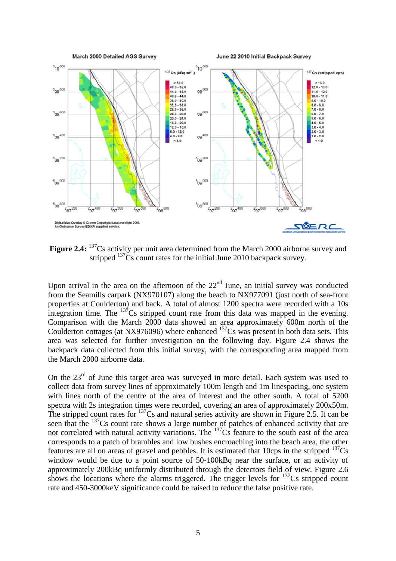

Figure 2.4: <sup>137</sup>Cs activity per unit area determined from the March 2000 airborne survey and stripped <sup>137</sup>Cs count rates for the initial June 2010 backpack survey.

Upon arrival in the area on the afternoon of the  $22<sup>nd</sup>$  June, an initial survey was conducted from the Seamills carpark (NX970107) along the beach to NX977091 (just north of sea-front properties at Coulderton) and back. A total of almost 1200 spectra were recorded with a 10s integration time. The  $^{137}$ Cs stripped count rate from this data was mapped in the evening. Comparison with the March 2000 data showed an area approximately 600m north of the Coulderton cottages (at NX976096) where enhanced  $137Cs$  was present in both data sets. This area was selected for further investigation on the following day. Figure 2.4 shows the backpack data collected from this initial survey, with the corresponding area mapped from the March 2000 airborne data.

On the 23<sup>rd</sup> of June this target area was surveyed in more detail. Each system was used to collect data from survey lines of approximately 100m length and 1m linespacing, one system with lines north of the centre of the area of interest and the other south. A total of 5200 spectra with 2s integration times were recorded, covering an area of approximately 200x50m. The stripped count rates for  $^{137}$ Cs and natural series activity are shown in Figure 2.5. It can be seen that the <sup>137</sup>Cs count rate shows a large number of patches of enhanced activity that are not correlated with natural activity variations. The <sup>137</sup>Cs feature to the south east of the area corresponds to a patch of brambles and low bushes encroaching into the beach area, the other features are all on areas of gravel and pebbles. It is estimated that 10cps in the stripped  $137Cs$ window would be due to a point source of 50-100kBq near the surface, or an activity of approximately 200kBq uniformly distributed through the detectors field of view. Figure 2.6 shows the locations where the alarms triggered. The trigger levels for  $137Cs$  stripped count rate and 450-3000keV significance could be raised to reduce the false positive rate.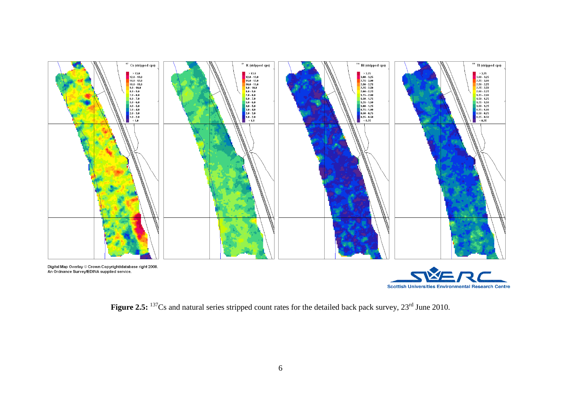

Figure 2.5: <sup>137</sup>Cs and natural series stripped count rates for the detailed back pack survey, 23<sup>rd</sup> June 2010.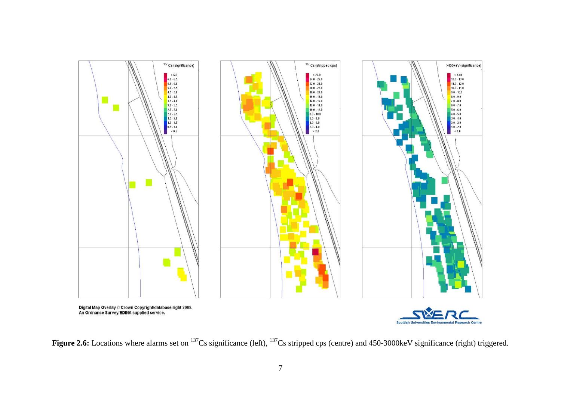

Figure 2.6: Locations where alarms set on <sup>137</sup>Cs significance (left), <sup>137</sup>Cs stripped cps (centre) and 450-3000keV significance (right) triggered.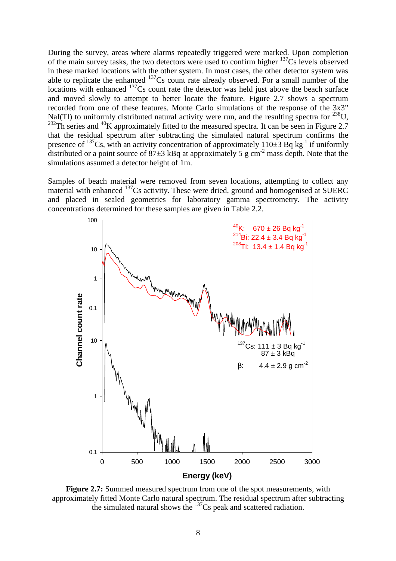During the survey, areas where alarms repeatedly triggered were marked. Upon completion of the main survey tasks, the two detectors were used to confirm higher  $137Cs$  levels observed in these marked locations with the other system. In most cases, the other detector system was able to replicate the enhanced <sup>137</sup>Cs count rate already observed. For a small number of the locations with enhanced  $137Cs$  count rate the detector was held just above the beach surface and moved slowly to attempt to better locate the feature. Figure 2.7 shows a spectrum recorded from one of these features. Monte Carlo simulations of the response of the 3x3" NaI(Tl) to uniformly distributed natural activity were run, and the resulting spectra for  $^{238}$ U.  $^{232}$ Th series and  $^{40}$ K approximately fitted to the measured spectra. It can be seen in Figure 2.7 that the residual spectrum after subtracting the simulated natural spectrum confirms the presence of  $137Cs$ , with an activity concentration of approximately  $110\pm 3$  Bq kg<sup>-1</sup> if uniformly distributed or a point source of  $87\pm3$  kBq at approximately 5 g cm<sup>-2</sup> mass depth. Note that the simulations assumed a detector height of 1m.

Samples of beach material were removed from seven locations, attempting to collect any material with enhanced <sup>137</sup>Cs activity. These were dried, ground and homogenised at SUERC and placed in sealed geometries for laboratory gamma spectrometry. The activity concentrations determined for these samples are given in Table 2.2.



**Figure 2.7:** Summed measured spectrum from one of the spot measurements, with approximately fitted Monte Carlo natural spectrum. The residual spectrum after subtracting the simulated natural shows the <sup>137</sup>Cs peak and scattered radiation.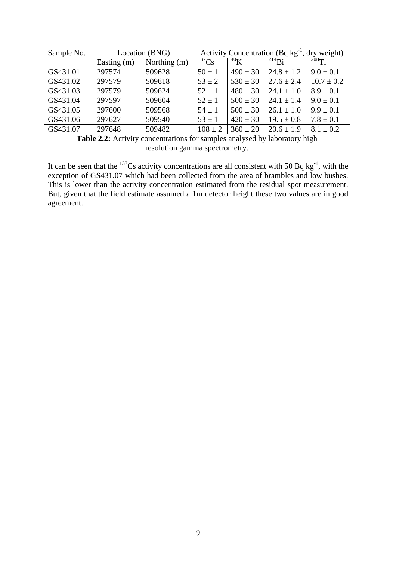| Sample No. | Location (BNG) |              | Activity Concentration (Bq $kg^{-1}$ , dry weight) |              |                |                |
|------------|----------------|--------------|----------------------------------------------------|--------------|----------------|----------------|
|            | Easting (m)    | Northing (m) | $^{137}Cs$                                         | $^{40}$ K    | $^{214}Bi$     | $^{208}$ Tl    |
| GS431.01   | 297574         | 509628       | $50 \pm 1$                                         | $490 \pm 30$ | $24.8 \pm 1.2$ | $9.0 \pm 0.1$  |
| GS431.02   | 297579         | 509618       | $53 \pm 2$                                         | $530 \pm 30$ | $27.6 \pm 2.4$ | $10.7 \pm 0.2$ |
| GS431.03   | 297579         | 509624       | $52 \pm 1$                                         | $480 \pm 30$ | $24.1 \pm 1.0$ | $8.9 \pm 0.1$  |
| GS431.04   | 297597         | 509604       | $52 \pm 1$                                         | $500 \pm 30$ | $24.1 \pm 1.4$ | $9.0 \pm 0.1$  |
| GS431.05   | 297600         | 509568       | $54 \pm 1$                                         | $500 \pm 30$ | $26.1 \pm 1.0$ | $9.9 \pm 0.1$  |
| GS431.06   | 297627         | 509540       | $53 \pm 1$                                         | $420 \pm 30$ | $19.5 \pm 0.8$ | $7.8 \pm 0.1$  |
| GS431.07   | 297648         | 509482       | $108 \pm 2$                                        | $360 \pm 20$ | $20.6 \pm 1.9$ | $8.1 \pm 0.2$  |

**Table 2.2:** Activity concentrations for samples analysed by laboratory high resolution gamma spectrometry.

It can be seen that the  $^{137}Cs$  activity concentrations are all consistent with 50 Bq kg<sup>-1</sup>, with the exception of GS431.07 which had been collected from the area of brambles and low bushes. This is lower than the activity concentration estimated from the residual spot measurement. But, given that the field estimate assumed a 1m detector height these two values are in good agreement.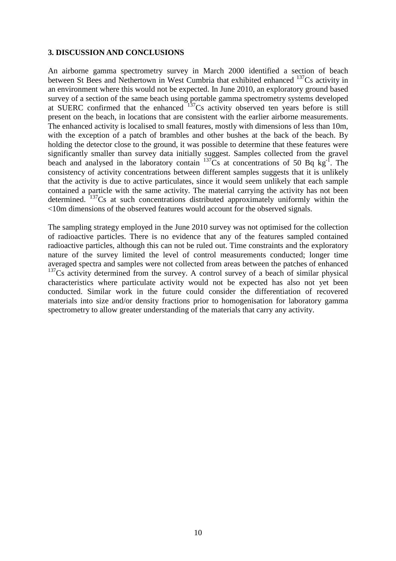#### **3. DISCUSSION AND CONCLUSIONS**

An airborne gamma spectrometry survey in March 2000 identified a section of beach between St Bees and Nethertown in West Cumbria that exhibited enhanced <sup>137</sup>Cs activity in an environment where this would not be expected. In June 2010, an exploratory ground based survey of a section of the same beach using portable gamma spectrometry systems developed at SUERC confirmed that the enhanced  $137$ Cs activity observed ten years before is still present on the beach, in locations that are consistent with the earlier airborne measurements. The enhanced activity is localised to small features, mostly with dimensions of less than 10m, with the exception of a patch of brambles and other bushes at the back of the beach. By holding the detector close to the ground, it was possible to determine that these features were significantly smaller than survey data initially suggest. Samples collected from the gravel beach and analysed in the laboratory contain  $137\degree$ Cs at concentrations of 50 Bq kg<sup>-1</sup>. The consistency of activity concentrations between different samples suggests that it is unlikely that the activity is due to active particulates, since it would seem unlikely that each sample contained a particle with the same activity. The material carrying the activity has not been determined.  $137Cs$  at such concentrations distributed approximately uniformly within the <10m dimensions of the observed features would account for the observed signals.

The sampling strategy employed in the June 2010 survey was not optimised for the collection of radioactive particles. There is no evidence that any of the features sampled contained radioactive particles, although this can not be ruled out. Time constraints and the exploratory nature of the survey limited the level of control measurements conducted; longer time averaged spectra and samples were not collected from areas between the patches of enhanced  $137Cs$  activity determined from the survey. A control survey of a beach of similar physical characteristics where particulate activity would not be expected has also not yet been conducted. Similar work in the future could consider the differentiation of recovered materials into size and/or density fractions prior to homogenisation for laboratory gamma spectrometry to allow greater understanding of the materials that carry any activity.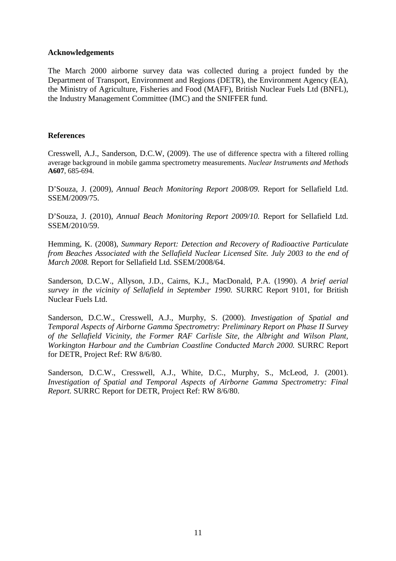#### **Acknowledgements**

The March 2000 airborne survey data was collected during a project funded by the Department of Transport, Environment and Regions (DETR), the Environment Agency (EA), the Ministry of Agriculture, Fisheries and Food (MAFF), British Nuclear Fuels Ltd (BNFL), the Industry Management Committee (IMC) and the SNIFFER fund.

#### **References**

Cresswell, A.J., Sanderson, D.C.W, (2009). The use of difference spectra with a filtered rolling average background in mobile gamma spectrometry measurements. *Nuclear Instruments and Methods*  **A607**, 685-694.

D'Souza, J. (2009), *Annual Beach Monitoring Report 2008/09.* Report for Sellafield Ltd. SSEM/2009/75.

D'Souza, J. (2010), *Annual Beach Monitoring Report 2009/10.* Report for Sellafield Ltd. SSEM/2010/59.

Hemming, K. (2008), *Summary Report: Detection and Recovery of Radioactive Particulate from Beaches Associated with the Sellafield Nuclear Licensed Site. July 2003 to the end of March 2008.* Report for Sellafield Ltd. SSEM/2008/64.

Sanderson, D.C.W., Allyson, J.D., Cairns, K.J., MacDonald, P.A. (1990). *A brief aerial survey in the vicinity of Sellafield in September 1990.* SURRC Report 9101, for British Nuclear Fuels Ltd.

Sanderson, D.C.W., Cresswell, A.J., Murphy, S. (2000). *Investigation of Spatial and Temporal Aspects of Airborne Gamma Spectrometry: Preliminary Report on Phase II Survey of the Sellafield Vicinity, the Former RAF Carlisle Site, the Albright and Wilson Plant, Workington Harbour and the Cumbrian Coastline Conducted March 2000.* SURRC Report for DETR, Project Ref: RW 8/6/80.

Sanderson, D.C.W., Cresswell, A.J., White, D.C., Murphy, S., McLeod, J. (2001). *Investigation of Spatial and Temporal Aspects of Airborne Gamma Spectrometry: Final Report.* SURRC Report for DETR, Project Ref: RW 8/6/80.